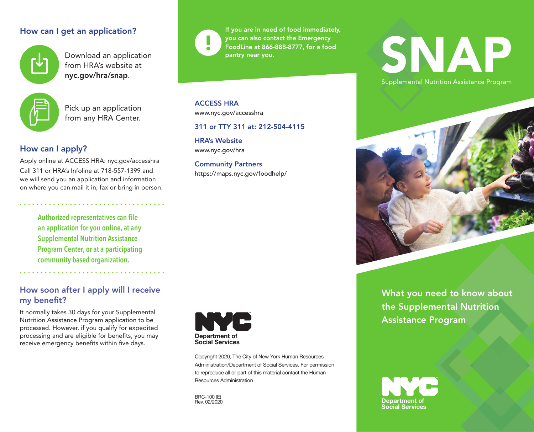## How can I get an application?



Download an application from HRA's website at nyc.gov/hra/snap.



Pick up an application from any HRA Center.

# How can I apply?

Apply online at ACCESS HRA: nyc.gov/accesshra Call 311 or HRA's Infoline at 718-557-1399 and we will send you an application and information on where you can mail it in, fax or bring in person.

**Authorized representatives can file an application for you online, at any Supplemental Nutrition Assistance Program Center, or at a participating community based organization.** 

## How soon after I apply will I receive my benefit?

It normally takes 30 days for your Supplemental Nutrition Assistance Program application to be processed. However, if you qualify for expedited processing and are eligible for benefits, you may receive emergency benefits within five days.



If you are in need of food immediately, you can also contact the Emergency FoodLine at 866-888-8777, for a food pantry near you.

ACCESS HRA www.nyc.gov/accesshra

## 311 or TTY 311 at: 212-504-4115

HRA's Website www.nyc.gov/hra

Community Partners https://maps.nyc.gov/foodhelp/



Copyright 2020, The City of New York Human Resources Administration/Department of Social Services. For permission to reproduce all or part of this material contact the Human Resources Administration

BRC-100 (E) **Rev. 02/2020** 

# SNAP

Supplemental Nutrition Assistance Program



What you need to know about the Supplemental Nutrition Assistance Program